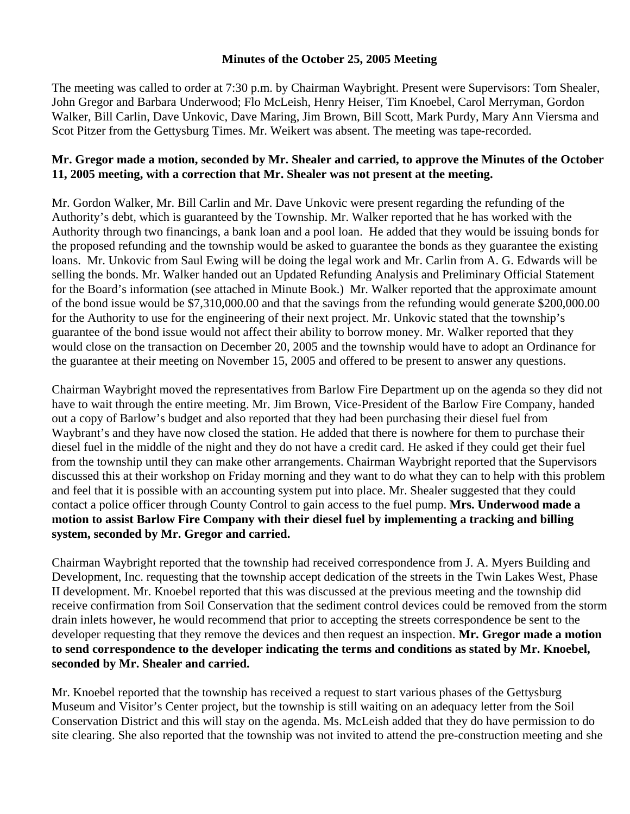## **Minutes of the October 25, 2005 Meeting**

The meeting was called to order at 7:30 p.m. by Chairman Waybright. Present were Supervisors: Tom Shealer, John Gregor and Barbara Underwood; Flo McLeish, Henry Heiser, Tim Knoebel, Carol Merryman, Gordon Walker, Bill Carlin, Dave Unkovic, Dave Maring, Jim Brown, Bill Scott, Mark Purdy, Mary Ann Viersma and Scot Pitzer from the Gettysburg Times. Mr. Weikert was absent. The meeting was tape-recorded.

## **Mr. Gregor made a motion, seconded by Mr. Shealer and carried, to approve the Minutes of the October 11, 2005 meeting, with a correction that Mr. Shealer was not present at the meeting.**

Mr. Gordon Walker, Mr. Bill Carlin and Mr. Dave Unkovic were present regarding the refunding of the Authority's debt, which is guaranteed by the Township. Mr. Walker reported that he has worked with the Authority through two financings, a bank loan and a pool loan. He added that they would be issuing bonds for the proposed refunding and the township would be asked to guarantee the bonds as they guarantee the existing loans. Mr. Unkovic from Saul Ewing will be doing the legal work and Mr. Carlin from A. G. Edwards will be selling the bonds. Mr. Walker handed out an Updated Refunding Analysis and Preliminary Official Statement for the Board's information (see attached in Minute Book.) Mr. Walker reported that the approximate amount of the bond issue would be \$7,310,000.00 and that the savings from the refunding would generate \$200,000.00 for the Authority to use for the engineering of their next project. Mr. Unkovic stated that the township's guarantee of the bond issue would not affect their ability to borrow money. Mr. Walker reported that they would close on the transaction on December 20, 2005 and the township would have to adopt an Ordinance for the guarantee at their meeting on November 15, 2005 and offered to be present to answer any questions.

Chairman Waybright moved the representatives from Barlow Fire Department up on the agenda so they did not have to wait through the entire meeting. Mr. Jim Brown, Vice-President of the Barlow Fire Company, handed out a copy of Barlow's budget and also reported that they had been purchasing their diesel fuel from Waybrant's and they have now closed the station. He added that there is nowhere for them to purchase their diesel fuel in the middle of the night and they do not have a credit card. He asked if they could get their fuel from the township until they can make other arrangements. Chairman Waybright reported that the Supervisors discussed this at their workshop on Friday morning and they want to do what they can to help with this problem and feel that it is possible with an accounting system put into place. Mr. Shealer suggested that they could contact a police officer through County Control to gain access to the fuel pump. **Mrs. Underwood made a motion to assist Barlow Fire Company with their diesel fuel by implementing a tracking and billing system, seconded by Mr. Gregor and carried.** 

Chairman Waybright reported that the township had received correspondence from J. A. Myers Building and Development, Inc. requesting that the township accept dedication of the streets in the Twin Lakes West, Phase II development. Mr. Knoebel reported that this was discussed at the previous meeting and the township did receive confirmation from Soil Conservation that the sediment control devices could be removed from the storm drain inlets however, he would recommend that prior to accepting the streets correspondence be sent to the developer requesting that they remove the devices and then request an inspection. **Mr. Gregor made a motion to send correspondence to the developer indicating the terms and conditions as stated by Mr. Knoebel, seconded by Mr. Shealer and carried.** 

Mr. Knoebel reported that the township has received a request to start various phases of the Gettysburg Museum and Visitor's Center project, but the township is still waiting on an adequacy letter from the Soil Conservation District and this will stay on the agenda. Ms. McLeish added that they do have permission to do site clearing. She also reported that the township was not invited to attend the pre-construction meeting and she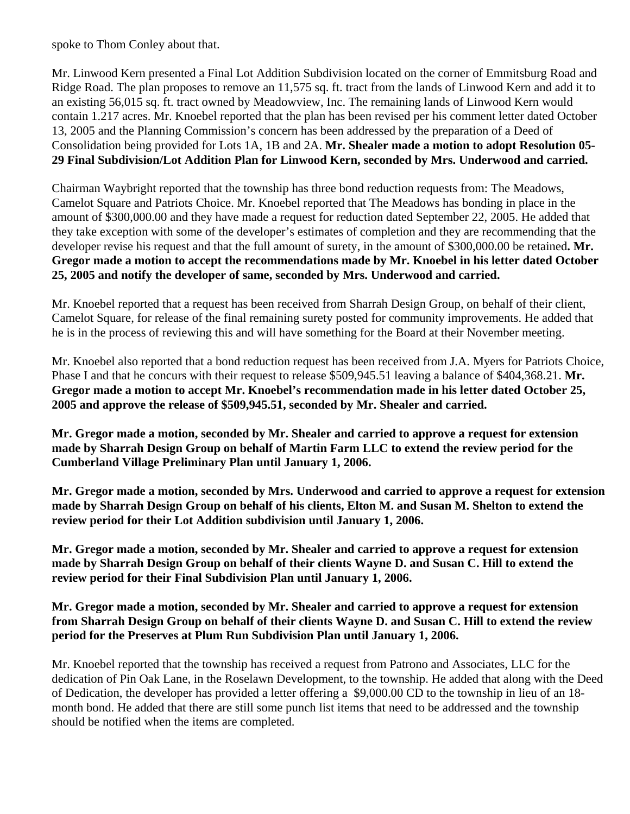spoke to Thom Conley about that.

Mr. Linwood Kern presented a Final Lot Addition Subdivision located on the corner of Emmitsburg Road and Ridge Road. The plan proposes to remove an 11,575 sq. ft. tract from the lands of Linwood Kern and add it to an existing 56,015 sq. ft. tract owned by Meadowview, Inc. The remaining lands of Linwood Kern would contain 1.217 acres. Mr. Knoebel reported that the plan has been revised per his comment letter dated October 13, 2005 and the Planning Commission's concern has been addressed by the preparation of a Deed of Consolidation being provided for Lots 1A, 1B and 2A. **Mr. Shealer made a motion to adopt Resolution 05- 29 Final Subdivision/Lot Addition Plan for Linwood Kern, seconded by Mrs. Underwood and carried.**

Chairman Waybright reported that the township has three bond reduction requests from: The Meadows, Camelot Square and Patriots Choice. Mr. Knoebel reported that The Meadows has bonding in place in the amount of \$300,000.00 and they have made a request for reduction dated September 22, 2005. He added that they take exception with some of the developer's estimates of completion and they are recommending that the developer revise his request and that the full amount of surety, in the amount of \$300,000.00 be retained**. Mr. Gregor made a motion to accept the recommendations made by Mr. Knoebel in his letter dated October 25, 2005 and notify the developer of same, seconded by Mrs. Underwood and carried.** 

Mr. Knoebel reported that a request has been received from Sharrah Design Group, on behalf of their client, Camelot Square, for release of the final remaining surety posted for community improvements. He added that he is in the process of reviewing this and will have something for the Board at their November meeting.

Mr. Knoebel also reported that a bond reduction request has been received from J.A. Myers for Patriots Choice, Phase I and that he concurs with their request to release \$509,945.51 leaving a balance of \$404,368.21. **Mr. Gregor made a motion to accept Mr. Knoebel's recommendation made in his letter dated October 25, 2005 and approve the release of \$509,945.51, seconded by Mr. Shealer and carried.** 

**Mr. Gregor made a motion, seconded by Mr. Shealer and carried to approve a request for extension made by Sharrah Design Group on behalf of Martin Farm LLC to extend the review period for the Cumberland Village Preliminary Plan until January 1, 2006.** 

**Mr. Gregor made a motion, seconded by Mrs. Underwood and carried to approve a request for extension made by Sharrah Design Group on behalf of his clients, Elton M. and Susan M. Shelton to extend the review period for their Lot Addition subdivision until January 1, 2006.** 

**Mr. Gregor made a motion, seconded by Mr. Shealer and carried to approve a request for extension made by Sharrah Design Group on behalf of their clients Wayne D. and Susan C. Hill to extend the review period for their Final Subdivision Plan until January 1, 2006.** 

## **Mr. Gregor made a motion, seconded by Mr. Shealer and carried to approve a request for extension from Sharrah Design Group on behalf of their clients Wayne D. and Susan C. Hill to extend the review period for the Preserves at Plum Run Subdivision Plan until January 1, 2006.**

Mr. Knoebel reported that the township has received a request from Patrono and Associates, LLC for the dedication of Pin Oak Lane, in the Roselawn Development, to the township. He added that along with the Deed of Dedication, the developer has provided a letter offering a \$9,000.00 CD to the township in lieu of an 18 month bond. He added that there are still some punch list items that need to be addressed and the township should be notified when the items are completed.